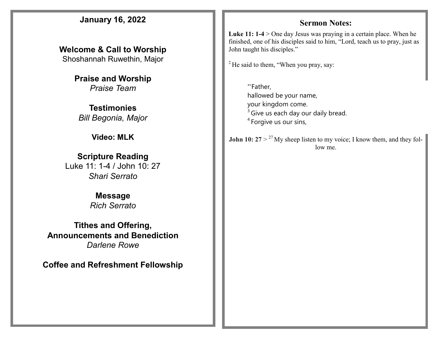### **January 16, 2022**

**Welcome & Call to Worship**  Shoshannah Ruwethin, Major

> **Praise and Worship** *Praise Team*

**Testimonies** *Bill Begonia, Major* 

**Video: MLK** 

#### **Scripture Reading**

Luke 11: 1-4 / John 10: 27 *Shari Serrato*

#### **Message**

*Rich Serrato*

**Tithes and Offering, Announcements and Benediction** *Darlene Rowe*

**Coffee and Refreshment Fellowship**

#### **Sermon Notes:**

Luke 11: 1-4 > One day Jesus was praying in a certain place. When he finished, one of his disciples said to him, "Lord, teach us to pray, just as John taught his disciples."

 $2$  He said to them, "When you pray, say:

"'Father, hallowed be your name, your kingdom come.  $3$  Give us each day our daily bread. <sup>4</sup> Forgive us our sins,

**John 10:**  $27 > {}^{27}$  My sheep listen to my voice; I know them, and they follow me.